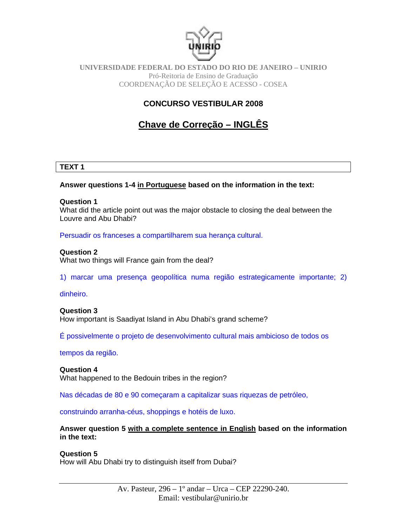

#### **UNIVERSIDADE FEDERAL DO ESTADO DO RIO DE JANEIRO – UNIRIO** Pró-Reitoria de Ensino de Graduação COORDENAÇÃO DE SELEÇÃO E ACESSO - COSEA

## **CONCURSO VESTIBULAR 2008**

# **Chave de Correção – INGLÊS**

#### **TEXT 1**

#### **Answer questions 1-4 in Portuguese based on the information in the text:**

#### **Question 1**

What did the article point out was the major obstacle to closing the deal between the Louvre and Abu Dhabi?

Persuadir os franceses a compartilharem sua herança cultural.

#### **Question 2**

What two things will France gain from the deal?

1) marcar uma presença geopolítica numa região estrategicamente importante; 2)

#### dinheiro.

#### **Question 3**

How important is Saadiyat Island in Abu Dhabi's grand scheme?

É possivelmente o projeto de desenvolvimento cultural mais ambicioso de todos os

#### tempos da região.

#### **Question 4**

What happened to the Bedouin tribes in the region?

Nas décadas de 80 e 90 começaram a capitalizar suas riquezas de petróleo,

construindo arranha-céus, shoppings e hotéis de luxo.

**Answer question 5 with a complete sentence in English based on the information in the text:** 

#### **Question 5**

How will Abu Dhabi try to distinguish itself from Dubai?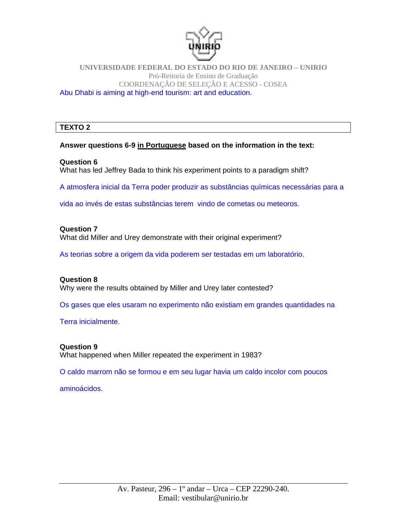

#### **UNIVERSIDADE FEDERAL DO ESTADO DO RIO DE JANEIRO – UNIRIO** Pró-Reitoria de Ensino de Graduação COORDENAÇÃO DE SELEÇÃO E ACESSO - COSEA Abu Dhabi is aiming at high-end tourism: art and education.

## **TEXTO 2**

## **Answer questions 6-9 in Portuguese based on the information in the text:**

## **Question 6**

What has led Jeffrey Bada to think his experiment points to a paradigm shift?

A atmosfera inicial da Terra poder produzir as substâncias químicas necessárias para a

vida ao invés de estas substâncias terem vindo de cometas ou meteoros.

## **Question 7**  What did Miller and Urey demonstrate with their original experiment?

As teorias sobre a origem da vida poderem ser testadas em um laboratório.

#### **Question 8**

Why were the results obtained by Miller and Urey later contested?

Os gases que eles usaram no experimento não existiam em grandes quantidades na

Terra inicialmente.

## **Question 9**

What happened when Miller repeated the experiment in 1983?

O caldo marrom não se formou e em seu lugar havia um caldo incolor com poucos

aminoácidos.